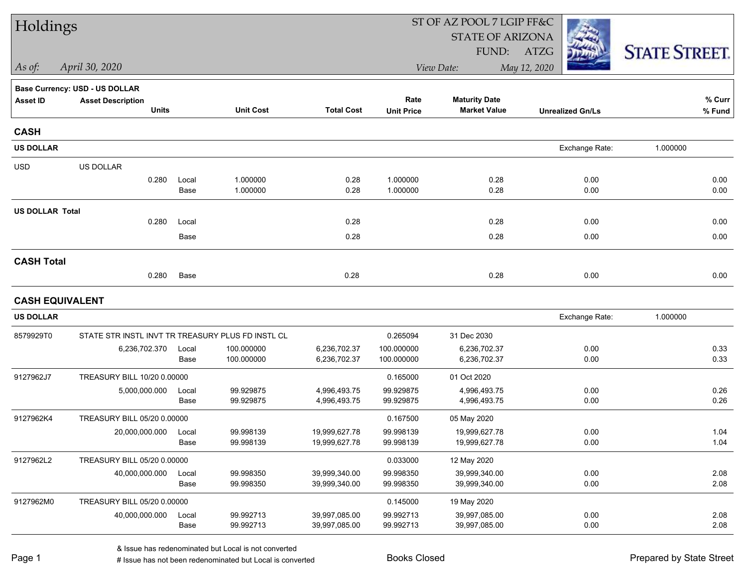| Holdings               |                                                   |               |                          |                                | ST OF AZ POOL 7 LGIP FF&C |                                             |                         |                      |  |
|------------------------|---------------------------------------------------|---------------|--------------------------|--------------------------------|---------------------------|---------------------------------------------|-------------------------|----------------------|--|
|                        |                                                   |               |                          |                                |                           | <b>STATE OF ARIZONA</b>                     |                         |                      |  |
|                        |                                                   |               |                          |                                |                           | FUND:                                       | ATZG                    | <b>STATE STREET.</b> |  |
| As of:                 | April 30, 2020                                    |               |                          |                                |                           | View Date:                                  | May 12, 2020            |                      |  |
|                        | Base Currency: USD - US DOLLAR                    |               |                          |                                |                           |                                             |                         |                      |  |
| <b>Asset ID</b>        | <b>Asset Description</b><br>Units                 |               | <b>Unit Cost</b>         | <b>Total Cost</b>              | Rate<br><b>Unit Price</b> | <b>Maturity Date</b><br><b>Market Value</b> | <b>Unrealized Gn/Ls</b> | % Curr<br>% Fund     |  |
| <b>CASH</b>            |                                                   |               |                          |                                |                           |                                             |                         |                      |  |
| <b>US DOLLAR</b>       |                                                   |               |                          |                                |                           |                                             | Exchange Rate:          | 1.000000             |  |
| <b>USD</b>             | US DOLLAR                                         |               |                          |                                |                           |                                             |                         |                      |  |
|                        | 0.280                                             | Local<br>Base | 1.000000<br>1.000000     | 0.28<br>0.28                   | 1.000000<br>1.000000      | 0.28<br>0.28                                | 0.00<br>0.00            | 0.00<br>0.00         |  |
| <b>US DOLLAR Total</b> |                                                   |               |                          |                                |                           |                                             |                         |                      |  |
|                        | 0.280                                             | Local         |                          | 0.28                           |                           | 0.28                                        | 0.00                    | 0.00                 |  |
|                        |                                                   | Base          |                          | 0.28                           |                           | 0.28                                        | 0.00                    | 0.00                 |  |
| <b>CASH Total</b>      |                                                   |               |                          |                                |                           |                                             |                         |                      |  |
|                        | 0.280                                             | Base          |                          | 0.28                           |                           | 0.28                                        | 0.00                    | 0.00                 |  |
| <b>CASH EQUIVALENT</b> |                                                   |               |                          |                                |                           |                                             |                         |                      |  |
| <b>US DOLLAR</b>       |                                                   |               |                          |                                |                           |                                             | Exchange Rate:          | 1.000000             |  |
| 8579929T0              | STATE STR INSTL INVT TR TREASURY PLUS FD INSTL CL |               |                          |                                | 0.265094                  | 31 Dec 2030                                 |                         |                      |  |
|                        | 6,236,702.370                                     | Local<br>Base | 100.000000<br>100.000000 | 6,236,702.37<br>6,236,702.37   | 100.000000<br>100.000000  | 6,236,702.37<br>6,236,702.37                | 0.00<br>0.00            | 0.33<br>0.33         |  |
| 9127962J7              | TREASURY BILL 10/20 0.00000                       |               |                          |                                | 0.165000                  | 01 Oct 2020                                 |                         |                      |  |
|                        | 5,000,000.000                                     | Local         | 99.929875                | 4,996,493.75                   | 99.929875                 | 4,996,493.75                                | 0.00                    | 0.26                 |  |
|                        |                                                   | Base          | 99.929875                | 4,996,493.75                   | 99.929875                 | 4,996,493.75                                | 0.00                    | 0.26                 |  |
| 9127962K4              | TREASURY BILL 05/20 0.00000                       |               |                          |                                | 0.167500                  | 05 May 2020                                 |                         |                      |  |
|                        | 20,000,000.000                                    | Local         | 99.998139                | 19,999,627.78                  | 99.998139                 | 19,999,627.78                               | 0.00                    | 1.04                 |  |
|                        |                                                   | Base          | 99.998139                | 19,999,627.78                  | 99.998139                 | 19,999,627.78                               | 0.00                    | 1.04                 |  |
| 9127962L2              | TREASURY BILL 05/20 0.00000                       |               |                          |                                | 0.033000                  | 12 May 2020                                 |                         |                      |  |
|                        | 40,000,000.000                                    | Local<br>Base | 99.998350<br>99.998350   | 39,999,340.00<br>39,999,340.00 | 99.998350<br>99.998350    | 39,999,340.00<br>39,999,340.00              | 0.00<br>0.00            | 2.08<br>2.08         |  |
| 9127962M0              | TREASURY BILL 05/20 0.00000                       |               |                          |                                | 0.145000                  | 19 May 2020                                 |                         |                      |  |
|                        | 40,000,000.000                                    | Local         | 99.992713                | 39,997,085.00                  | 99.992713                 | 39,997,085.00                               | 0.00                    | 2.08                 |  |
|                        |                                                   | Base          | 99.992713                | 39,997,085.00                  | 99.992713                 | 39,997,085.00                               | 0.00                    | 2.08                 |  |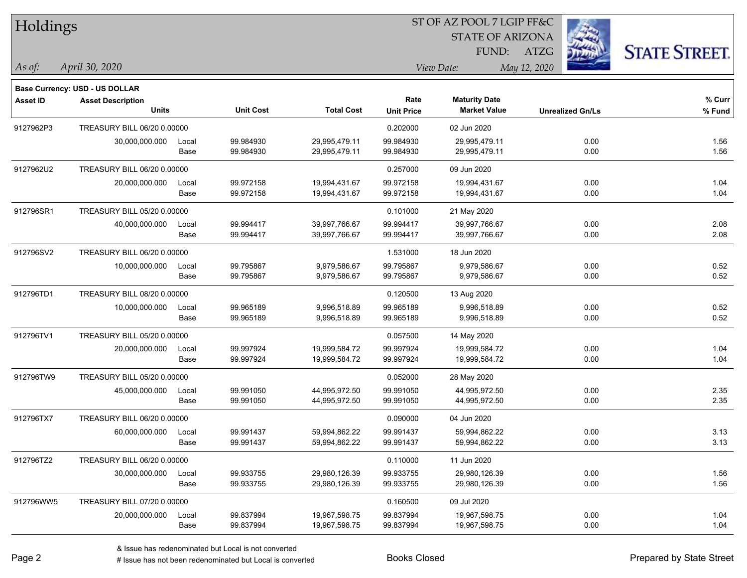| Holdings        |                                |       |                  | ST OF AZ POOL 7 LGIP FF&C |                   |                         |              |                         |                      |  |
|-----------------|--------------------------------|-------|------------------|---------------------------|-------------------|-------------------------|--------------|-------------------------|----------------------|--|
|                 |                                |       |                  |                           |                   | <b>STATE OF ARIZONA</b> |              |                         |                      |  |
|                 |                                |       |                  |                           |                   | FUND:                   | ATZG         |                         | <b>STATE STREET.</b> |  |
| As of:          | April 30, 2020                 |       |                  |                           |                   | View Date:              | May 12, 2020 |                         |                      |  |
|                 | Base Currency: USD - US DOLLAR |       |                  |                           |                   |                         |              |                         |                      |  |
| <b>Asset ID</b> | <b>Asset Description</b>       |       |                  |                           | Rate              | <b>Maturity Date</b>    |              |                         | % Curr               |  |
|                 | <b>Units</b>                   |       | <b>Unit Cost</b> | <b>Total Cost</b>         | <b>Unit Price</b> | <b>Market Value</b>     |              | <b>Unrealized Gn/Ls</b> | % Fund               |  |
| 9127962P3       | TREASURY BILL 06/20 0.00000    |       |                  |                           | 0.202000          | 02 Jun 2020             |              |                         |                      |  |
|                 | 30,000,000.000                 | Local | 99.984930        | 29,995,479.11             | 99.984930         | 29,995,479.11           |              | 0.00                    | 1.56                 |  |
|                 |                                | Base  | 99.984930        | 29,995,479.11             | 99.984930         | 29,995,479.11           |              | 0.00                    | 1.56                 |  |
| 9127962U2       | TREASURY BILL 06/20 0.00000    |       |                  |                           | 0.257000          | 09 Jun 2020             |              |                         |                      |  |
|                 | 20,000,000.000                 | Local | 99.972158        | 19,994,431.67             | 99.972158         | 19,994,431.67           |              | 0.00                    | 1.04                 |  |
|                 |                                | Base  | 99.972158        | 19,994,431.67             | 99.972158         | 19,994,431.67           |              | 0.00                    | 1.04                 |  |
| 912796SR1       | TREASURY BILL 05/20 0.00000    |       |                  |                           | 0.101000          | 21 May 2020             |              |                         |                      |  |
|                 | 40,000,000.000                 | Local | 99.994417        | 39,997,766.67             | 99.994417         | 39,997,766.67           |              | 0.00                    | 2.08                 |  |
|                 |                                | Base  | 99.994417        | 39,997,766.67             | 99.994417         | 39,997,766.67           |              | 0.00                    | 2.08                 |  |
| 912796SV2       | TREASURY BILL 06/20 0.00000    |       |                  |                           | 1.531000          | 18 Jun 2020             |              |                         |                      |  |
|                 | 10,000,000.000                 | Local | 99.795867        | 9,979,586.67              | 99.795867         | 9,979,586.67            |              | 0.00                    | 0.52                 |  |
|                 |                                | Base  | 99.795867        | 9,979,586.67              | 99.795867         | 9,979,586.67            |              | 0.00                    | 0.52                 |  |
| 912796TD1       | TREASURY BILL 08/20 0.00000    |       |                  |                           | 0.120500          | 13 Aug 2020             |              |                         |                      |  |
|                 | 10,000,000.000                 | Local | 99.965189        | 9,996,518.89              | 99.965189         | 9,996,518.89            |              | 0.00                    | 0.52                 |  |
|                 |                                | Base  | 99.965189        | 9,996,518.89              | 99.965189         | 9,996,518.89            |              | 0.00                    | 0.52                 |  |
| 912796TV1       | TREASURY BILL 05/20 0.00000    |       |                  |                           | 0.057500          | 14 May 2020             |              |                         |                      |  |
|                 | 20,000,000.000                 | Local | 99.997924        | 19,999,584.72             | 99.997924         | 19,999,584.72           |              | 0.00                    | 1.04                 |  |
|                 |                                | Base  | 99.997924        | 19,999,584.72             | 99.997924         | 19,999,584.72           |              | 0.00                    | 1.04                 |  |
| 912796TW9       | TREASURY BILL 05/20 0.00000    |       |                  |                           | 0.052000          | 28 May 2020             |              |                         |                      |  |
|                 | 45,000,000.000                 | Local | 99.991050        | 44,995,972.50             | 99.991050         | 44,995,972.50           |              | 0.00                    | 2.35                 |  |
|                 |                                | Base  | 99.991050        | 44,995,972.50             | 99.991050         | 44,995,972.50           |              | 0.00                    | 2.35                 |  |
| 912796TX7       | TREASURY BILL 06/20 0.00000    |       |                  |                           | 0.090000          | 04 Jun 2020             |              |                         |                      |  |
|                 | 60,000,000.000                 | Local | 99.991437        | 59,994,862.22             | 99.991437         | 59,994,862.22           |              | 0.00                    | 3.13                 |  |
|                 |                                | Base  | 99.991437        | 59,994,862.22             | 99.991437         | 59,994,862.22           |              | 0.00                    | 3.13                 |  |
| 912796TZ2       | TREASURY BILL 06/20 0.00000    |       |                  |                           | 0.110000          | 11 Jun 2020             |              |                         |                      |  |
|                 | 30,000,000.000                 | Local | 99.933755        | 29,980,126.39             | 99.933755         | 29,980,126.39           |              | 0.00                    | 1.56                 |  |
|                 |                                | Base  | 99.933755        | 29,980,126.39             | 99.933755         | 29,980,126.39           |              | 0.00                    | 1.56                 |  |
| 912796WW5       | TREASURY BILL 07/20 0.00000    |       |                  |                           | 0.160500          | 09 Jul 2020             |              |                         |                      |  |
|                 | 20,000,000.000                 | Local | 99.837994        | 19,967,598.75             | 99.837994         | 19,967,598.75           |              | 0.00                    | 1.04                 |  |
|                 |                                | Base  | 99.837994        | 19,967,598.75             | 99.837994         | 19,967,598.75           |              | 0.00                    | 1.04                 |  |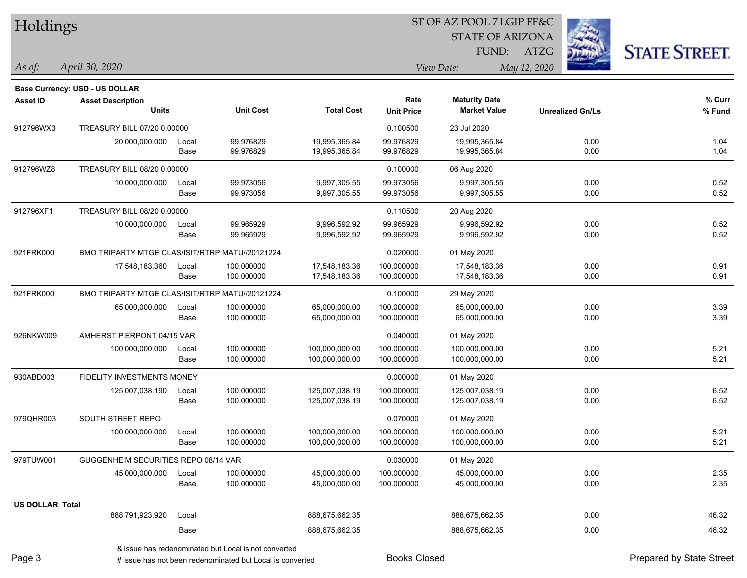| Holdings               |                                                 |       |                  |                   |                   | ST OF AZ POOL 7 LGIP FF&C |              |                         |                      |
|------------------------|-------------------------------------------------|-------|------------------|-------------------|-------------------|---------------------------|--------------|-------------------------|----------------------|
|                        |                                                 |       |                  |                   |                   | <b>STATE OF ARIZONA</b>   |              |                         |                      |
|                        |                                                 |       |                  |                   |                   | FUND:                     | <b>ATZG</b>  |                         | <b>STATE STREET.</b> |
| As of:                 | April 30, 2020                                  |       |                  |                   |                   | View Date:                | May 12, 2020 |                         |                      |
|                        | Base Currency: USD - US DOLLAR                  |       |                  |                   |                   |                           |              |                         |                      |
| <b>Asset ID</b>        | <b>Asset Description</b>                        |       |                  |                   | Rate              | <b>Maturity Date</b>      |              |                         | $%$ Curr             |
|                        | <b>Units</b>                                    |       | <b>Unit Cost</b> | <b>Total Cost</b> | <b>Unit Price</b> | <b>Market Value</b>       |              | <b>Unrealized Gn/Ls</b> | % Fund               |
| 912796WX3              | TREASURY BILL 07/20 0.00000                     |       |                  |                   | 0.100500          | 23 Jul 2020               |              |                         |                      |
|                        | 20,000,000.000                                  | Local | 99.976829        | 19,995,365.84     | 99.976829         | 19,995,365.84             |              | 0.00                    | 1.04                 |
|                        |                                                 | Base  | 99.976829        | 19,995,365.84     | 99.976829         | 19,995,365.84             |              | 0.00                    | 1.04                 |
| 912796WZ8              | TREASURY BILL 08/20 0.00000                     |       |                  |                   | 0.100000          | 06 Aug 2020               |              |                         |                      |
|                        | 10,000,000.000                                  | Local | 99.973056        | 9,997,305.55      | 99.973056         | 9,997,305.55              |              | 0.00                    | 0.52                 |
|                        |                                                 | Base  | 99.973056        | 9,997,305.55      | 99.973056         | 9,997,305.55              |              | 0.00                    | 0.52                 |
| 912796XF1              | TREASURY BILL 08/20 0.00000                     |       |                  |                   | 0.110500          | 20 Aug 2020               |              |                         |                      |
|                        | 10,000,000.000                                  | Local | 99.965929        | 9,996,592.92      | 99.965929         | 9,996,592.92              |              | 0.00                    | 0.52                 |
|                        |                                                 | Base  | 99.965929        | 9,996,592.92      | 99.965929         | 9,996,592.92              |              | 0.00                    | 0.52                 |
| 921FRK000              | BMO TRIPARTY MTGE CLAS/ISIT/RTRP MATU//20121224 |       |                  |                   | 0.020000          | 01 May 2020               |              |                         |                      |
|                        | 17,548,183.360                                  | Local | 100.000000       | 17,548,183.36     | 100.000000        | 17,548,183.36             |              | 0.00                    | 0.91                 |
|                        |                                                 | Base  | 100.000000       | 17,548,183.36     | 100.000000        | 17,548,183.36             |              | 0.00                    | 0.91                 |
| 921FRK000              | BMO TRIPARTY MTGE CLAS/ISIT/RTRP MATU//20121224 |       |                  |                   | 0.100000          | 29 May 2020               |              |                         |                      |
|                        | 65,000,000.000                                  | Local | 100.000000       | 65,000,000.00     | 100.000000        | 65,000,000.00             |              | 0.00                    | 3.39                 |
|                        |                                                 | Base  | 100.000000       | 65,000,000.00     | 100.000000        | 65,000,000.00             |              | 0.00                    | 3.39                 |
| 926NKW009              | AMHERST PIERPONT 04/15 VAR                      |       |                  |                   | 0.040000          | 01 May 2020               |              |                         |                      |
|                        | 100,000,000.000                                 | Local | 100.000000       | 100,000,000.00    | 100.000000        | 100,000,000.00            |              | 0.00                    | 5.21                 |
|                        |                                                 | Base  | 100.000000       | 100,000,000.00    | 100.000000        | 100,000,000.00            |              | 0.00                    | 5.21                 |
| 930ABD003              | FIDELITY INVESTMENTS MONEY                      |       |                  |                   | 0.000000          | 01 May 2020               |              |                         |                      |
|                        | 125,007,038.190                                 | Local | 100.000000       | 125,007,038.19    | 100.000000        | 125,007,038.19            |              | 0.00                    | 6.52                 |
|                        |                                                 | Base  | 100.000000       | 125,007,038.19    | 100.000000        | 125,007,038.19            |              | 0.00                    | 6.52                 |
| 979QHR003              | SOUTH STREET REPO                               |       |                  |                   | 0.070000          | 01 May 2020               |              |                         |                      |
|                        | 100,000,000.000                                 | Local | 100.000000       | 100,000,000.00    | 100.000000        | 100,000,000.00            |              | 0.00                    | 5.21                 |
|                        |                                                 | Base  | 100.000000       | 100,000,000.00    | 100.000000        | 100,000,000.00            |              | 0.00                    | 5.21                 |
| 979TUW001              | GUGGENHEIM SECURITIES REPO 08/14 VAR            |       |                  |                   | 0.030000          | 01 May 2020               |              |                         |                      |
|                        | 45,000,000.000                                  | Local | 100.000000       | 45,000,000.00     | 100.000000        | 45,000,000.00             |              | 0.00                    | 2.35                 |
|                        |                                                 | Base  | 100.000000       | 45,000,000.00     | 100.000000        | 45,000,000.00             |              | 0.00                    | 2.35                 |
| <b>US DOLLAR Total</b> |                                                 |       |                  |                   |                   |                           |              |                         |                      |
|                        | 888,791,923.920                                 | Local |                  | 888,675,662.35    |                   | 888,675,662.35            |              | 0.00                    | 46.32                |
|                        |                                                 | Base  |                  | 888,675,662.35    |                   | 888,675,662.35            |              | 0.00                    | 46.32                |
|                        |                                                 |       |                  |                   |                   |                           |              |                         |                      |

& Issue has redenominated but Local is not converted

Page 3

denote the redenominated but Local is converted Books Closed Prepared by State Street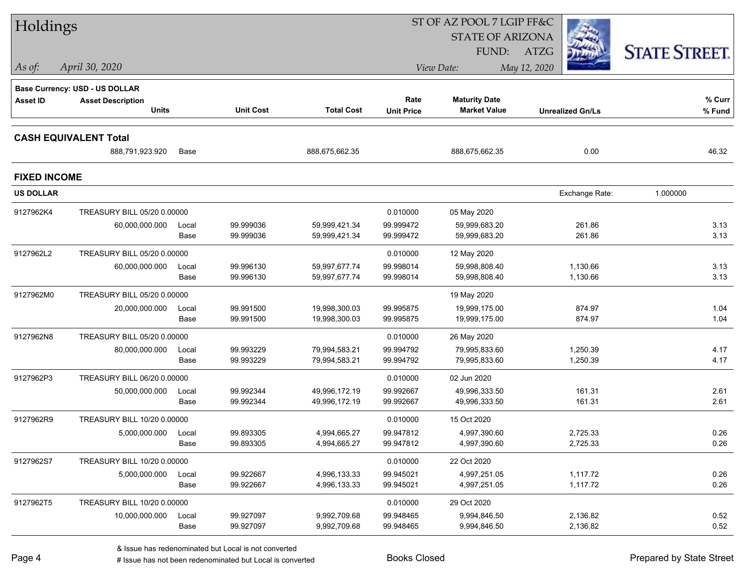| Holdings            |                                                 |       |                  |                   |                   | ST OF AZ POOL 7 LGIP FF&C |                         |                      |
|---------------------|-------------------------------------------------|-------|------------------|-------------------|-------------------|---------------------------|-------------------------|----------------------|
|                     |                                                 |       |                  |                   |                   | <b>STATE OF ARIZONA</b>   |                         |                      |
|                     |                                                 |       |                  |                   |                   | FUND:                     | ATZG                    | <b>STATE STREET.</b> |
| As of:              | April 30, 2020                                  |       |                  |                   |                   | View Date:                | May 12, 2020            |                      |
|                     | Base Currency: USD - US DOLLAR                  |       |                  |                   |                   |                           |                         |                      |
| <b>Asset ID</b>     | <b>Asset Description</b>                        |       |                  |                   | Rate              | <b>Maturity Date</b>      |                         | % Curr               |
|                     | <b>Units</b>                                    |       | <b>Unit Cost</b> | <b>Total Cost</b> | <b>Unit Price</b> | <b>Market Value</b>       | <b>Unrealized Gn/Ls</b> | % Fund               |
|                     |                                                 |       |                  |                   |                   |                           |                         |                      |
|                     | <b>CASH EQUIVALENT Total</b><br>888,791,923.920 | Base  |                  | 888,675,662.35    |                   | 888,675,662.35            | 0.00                    | 46.32                |
|                     |                                                 |       |                  |                   |                   |                           |                         |                      |
| <b>FIXED INCOME</b> |                                                 |       |                  |                   |                   |                           |                         |                      |
| <b>US DOLLAR</b>    |                                                 |       |                  |                   |                   |                           | Exchange Rate:          | 1.000000             |
| 9127962K4           | TREASURY BILL 05/20 0.00000                     |       |                  |                   | 0.010000          | 05 May 2020               |                         |                      |
|                     | 60,000,000.000                                  | Local | 99.999036        | 59,999,421.34     | 99.999472         | 59,999,683.20             | 261.86                  | 3.13                 |
|                     |                                                 | Base  | 99.999036        | 59,999,421.34     | 99.999472         | 59,999,683.20             | 261.86                  | 3.13                 |
| 9127962L2           | TREASURY BILL 05/20 0.00000                     |       |                  |                   | 0.010000          | 12 May 2020               |                         |                      |
|                     | 60,000,000.000                                  | Local | 99.996130        | 59,997,677.74     | 99.998014         | 59,998,808.40             | 1,130.66                | 3.13                 |
|                     |                                                 | Base  | 99.996130        | 59,997,677.74     | 99.998014         | 59,998,808.40             | 1,130.66                | 3.13                 |
| 9127962M0           | TREASURY BILL 05/20 0.00000                     |       |                  |                   |                   | 19 May 2020               |                         |                      |
|                     | 20,000,000.000                                  | Local | 99.991500        | 19,998,300.03     | 99.995875         | 19,999,175.00             | 874.97                  | 1.04                 |
|                     |                                                 | Base  | 99.991500        | 19,998,300.03     | 99.995875         | 19,999,175.00             | 874.97                  | 1.04                 |
| 9127962N8           | TREASURY BILL 05/20 0.00000                     |       |                  |                   | 0.010000          | 26 May 2020               |                         |                      |
|                     | 80,000,000.000                                  | Local | 99.993229        | 79,994,583.21     | 99.994792         | 79,995,833.60             | 1,250.39                | 4.17                 |
|                     |                                                 | Base  | 99.993229        | 79,994,583.21     | 99.994792         | 79,995,833.60             | 1,250.39                | 4.17                 |
| 9127962P3           | TREASURY BILL 06/20 0.00000                     |       |                  |                   | 0.010000          | 02 Jun 2020               |                         |                      |
|                     | 50,000,000.000                                  | Local | 99.992344        | 49,996,172.19     | 99.992667         | 49,996,333.50             | 161.31                  | 2.61                 |
|                     |                                                 | Base  | 99.992344        | 49,996,172.19     | 99.992667         | 49,996,333.50             | 161.31                  | 2.61                 |
| 9127962R9           | TREASURY BILL 10/20 0.00000                     |       |                  |                   | 0.010000          | 15 Oct 2020               |                         |                      |
|                     | 5,000,000.000                                   | Local | 99.893305        | 4,994,665.27      | 99.947812         | 4,997,390.60              | 2,725.33                | 0.26                 |
|                     |                                                 | Base  | 99.893305        | 4,994,665.27      | 99.947812         | 4,997,390.60              | 2,725.33                | 0.26                 |
| 9127962S7           | TREASURY BILL 10/20 0.00000                     |       |                  |                   | 0.010000          | 22 Oct 2020               |                         |                      |
|                     | 5,000,000.000                                   | Local | 99.922667        | 4,996,133.33      | 99.945021         | 4,997,251.05              | 1,117.72                | 0.26                 |
|                     |                                                 | Base  | 99.922667        | 4,996,133.33      | 99.945021         | 4,997,251.05              | 1,117.72                | 0.26                 |
| 9127962T5           | TREASURY BILL 10/20 0.00000                     |       |                  |                   | 0.010000          | 29 Oct 2020               |                         |                      |
|                     | 10,000,000.000                                  | Local | 99.927097        | 9,992,709.68      | 99.948465         | 9,994,846.50              | 2,136.82                | 0.52                 |
|                     |                                                 | Base  | 99.927097        | 9,992,709.68      | 99.948465         | 9,994,846.50              | 2,136.82                | 0.52                 |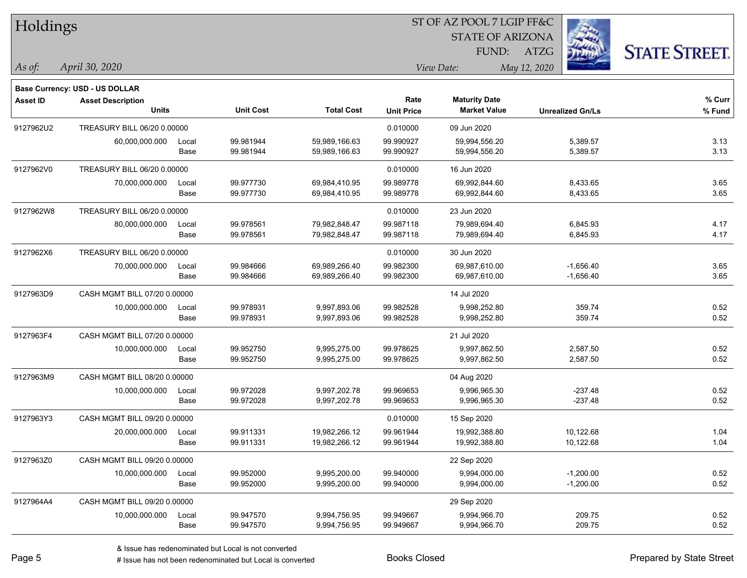| Holdings        |                                          |               |                        |                                |                           | <b>STATE OF ARIZONA</b>                     |                            |                      |
|-----------------|------------------------------------------|---------------|------------------------|--------------------------------|---------------------------|---------------------------------------------|----------------------------|----------------------|
|                 |                                          |               |                        |                                |                           | FUND:                                       | <b>ATZG</b>                | <b>STATE STREET.</b> |
| As of:          | April 30, 2020                           |               |                        |                                |                           | View Date:                                  | May 12, 2020               |                      |
|                 | Base Currency: USD - US DOLLAR           |               |                        |                                |                           |                                             |                            |                      |
| <b>Asset ID</b> | <b>Asset Description</b><br><b>Units</b> |               | <b>Unit Cost</b>       | <b>Total Cost</b>              | Rate<br><b>Unit Price</b> | <b>Maturity Date</b><br><b>Market Value</b> | <b>Unrealized Gn/Ls</b>    | % Curr<br>% Fund     |
| 9127962U2       | TREASURY BILL 06/20 0.00000              |               |                        |                                | 0.010000                  | 09 Jun 2020                                 |                            |                      |
|                 | 60,000,000.000                           | Local<br>Base | 99.981944<br>99.981944 | 59,989,166.63<br>59,989,166.63 | 99.990927<br>99.990927    | 59,994,556.20<br>59,994,556.20              | 5,389.57<br>5,389.57       | 3.13<br>3.13         |
| 9127962V0       | TREASURY BILL 06/20 0.00000              |               |                        |                                | 0.010000                  | 16 Jun 2020                                 |                            |                      |
|                 | 70,000,000.000                           | Local<br>Base | 99.977730<br>99.977730 | 69,984,410.95<br>69,984,410.95 | 99.989778<br>99.989778    | 69,992,844.60<br>69,992,844.60              | 8,433.65<br>8,433.65       | 3.65<br>3.65         |
| 9127962W8       | TREASURY BILL 06/20 0.00000              |               |                        |                                | 0.010000                  | 23 Jun 2020                                 |                            |                      |
|                 | 80,000,000.000                           | Local<br>Base | 99.978561<br>99.978561 | 79,982,848.47<br>79,982,848.47 | 99.987118<br>99.987118    | 79,989,694.40<br>79,989,694.40              | 6,845.93<br>6,845.93       | 4.17<br>4.17         |
| 9127962X6       | TREASURY BILL 06/20 0.00000              |               |                        |                                | 0.010000                  | 30 Jun 2020                                 |                            |                      |
|                 | 70,000,000.000                           | Local<br>Base | 99.984666<br>99.984666 | 69,989,266.40<br>69,989,266.40 | 99.982300<br>99.982300    | 69,987,610.00<br>69,987,610.00              | $-1,656.40$<br>$-1,656.40$ | 3.65<br>3.65         |
| 9127963D9       | CASH MGMT BILL 07/20 0.00000             |               |                        |                                |                           | 14 Jul 2020                                 |                            |                      |
|                 | 10,000,000.000                           | Local<br>Base | 99.978931<br>99.978931 | 9,997,893.06<br>9,997,893.06   | 99.982528<br>99.982528    | 9,998,252.80<br>9,998,252.80                | 359.74<br>359.74           | 0.52<br>0.52         |
| 9127963F4       | CASH MGMT BILL 07/20 0.00000             |               |                        |                                |                           | 21 Jul 2020                                 |                            |                      |
|                 | 10,000,000.000                           | Local<br>Base | 99.952750<br>99.952750 | 9,995,275.00<br>9,995,275.00   | 99.978625<br>99.978625    | 9,997,862.50<br>9,997,862.50                | 2,587.50<br>2,587.50       | 0.52<br>0.52         |
| 9127963M9       | CASH MGMT BILL 08/20 0.00000             |               |                        |                                |                           | 04 Aug 2020                                 |                            |                      |
|                 | 10,000,000.000                           | Local<br>Base | 99.972028<br>99.972028 | 9,997,202.78<br>9,997,202.78   | 99.969653<br>99.969653    | 9,996,965.30<br>9,996,965.30                | $-237.48$<br>$-237.48$     | 0.52<br>0.52         |
| 9127963Y3       | CASH MGMT BILL 09/20 0.00000             |               |                        |                                | 0.010000                  | 15 Sep 2020                                 |                            |                      |
|                 | 20,000,000.000                           | Local<br>Base | 99.911331<br>99.911331 | 19,982,266.12<br>19,982,266.12 | 99.961944<br>99.961944    | 19,992,388.80<br>19,992,388.80              | 10,122.68<br>10,122.68     | 1.04<br>1.04         |
| 9127963Z0       | CASH MGMT BILL 09/20 0.00000             |               |                        |                                |                           | 22 Sep 2020                                 |                            |                      |
|                 | 10,000,000.000                           | Local<br>Base | 99.952000<br>99.952000 | 9,995,200.00<br>9,995,200.00   | 99.940000<br>99.940000    | 9,994,000.00<br>9,994,000.00                | $-1,200.00$<br>$-1,200.00$ | 0.52<br>0.52         |
| 9127964A4       | CASH MGMT BILL 09/20 0.00000             |               |                        |                                |                           | 29 Sep 2020                                 |                            |                      |
|                 | 10,000,000.000                           | Local<br>Base | 99.947570<br>99.947570 | 9,994,756.95<br>9,994,756.95   | 99.949667<br>99.949667    | 9,994,966.70<br>9,994,966.70                | 209.75<br>209.75           | 0.52<br>0.52         |

ST OF AZ POOL 7 LGIP FF&C

 $TT.1.1$ 

denote the redenominated but Local is converted Books Closed Prepared by State Street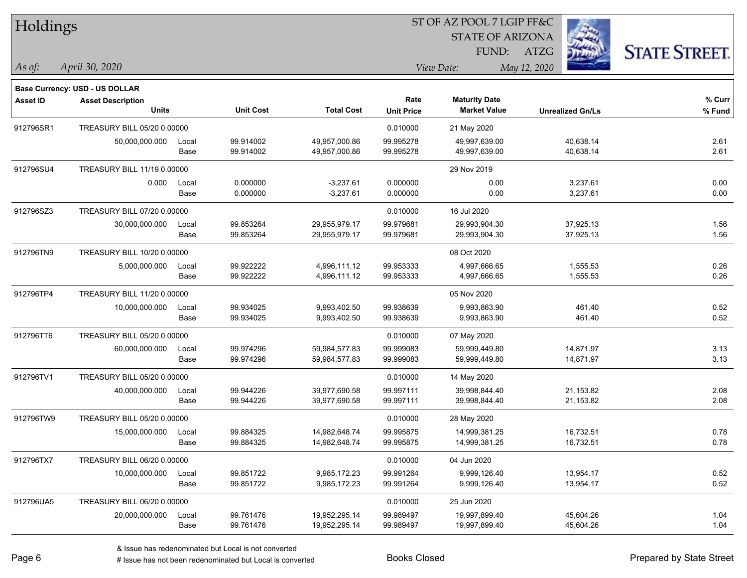| Holdings        |                                                                   |       |                  | ST OF AZ POOL 7 LGIP FF&C |                   |                         |                         |                      |  |
|-----------------|-------------------------------------------------------------------|-------|------------------|---------------------------|-------------------|-------------------------|-------------------------|----------------------|--|
|                 |                                                                   |       |                  |                           |                   | <b>STATE OF ARIZONA</b> |                         |                      |  |
|                 |                                                                   |       |                  |                           |                   | FUND:                   | <b>ATZG</b>             | <b>STATE STREET.</b> |  |
| As of:          | April 30, 2020                                                    |       |                  |                           |                   | View Date:              | May 12, 2020            |                      |  |
|                 |                                                                   |       |                  |                           |                   |                         |                         |                      |  |
| <b>Asset ID</b> | <b>Base Currency: USD - US DOLLAR</b><br><b>Asset Description</b> |       |                  |                           | Rate              | <b>Maturity Date</b>    |                         | % Curr               |  |
|                 | <b>Units</b>                                                      |       | <b>Unit Cost</b> | <b>Total Cost</b>         | <b>Unit Price</b> | <b>Market Value</b>     | <b>Unrealized Gn/Ls</b> | % Fund               |  |
| 912796SR1       | TREASURY BILL 05/20 0.00000                                       |       |                  |                           | 0.010000          | 21 May 2020             |                         |                      |  |
|                 | 50,000,000.000                                                    | Local | 99.914002        | 49,957,000.86             | 99.995278         | 49,997,639.00           | 40,638.14               | 2.61                 |  |
|                 |                                                                   | Base  | 99.914002        | 49,957,000.86             | 99.995278         | 49,997,639.00           | 40,638.14               | 2.61                 |  |
| 912796SU4       | TREASURY BILL 11/19 0.00000                                       |       |                  |                           |                   | 29 Nov 2019             |                         |                      |  |
|                 | 0.000                                                             | Local | 0.000000         | $-3,237.61$               | 0.000000          | 0.00                    | 3,237.61                | 0.00                 |  |
|                 |                                                                   | Base  | 0.000000         | $-3,237.61$               | 0.000000          | 0.00                    | 3,237.61                | 0.00                 |  |
| 912796SZ3       | TREASURY BILL 07/20 0.00000                                       |       |                  |                           | 0.010000          | 16 Jul 2020             |                         |                      |  |
|                 | 30,000,000.000                                                    | Local | 99.853264        | 29,955,979.17             | 99.979681         | 29,993,904.30           | 37,925.13               | 1.56                 |  |
|                 |                                                                   | Base  | 99.853264        | 29,955,979.17             | 99.979681         | 29,993,904.30           | 37,925.13               | 1.56                 |  |
| 912796TN9       | TREASURY BILL 10/20 0.00000                                       |       |                  |                           |                   | 08 Oct 2020             |                         |                      |  |
|                 | 5,000,000.000                                                     | Local | 99.922222        | 4,996,111.12              | 99.953333         | 4,997,666.65            | 1,555.53                | 0.26                 |  |
|                 |                                                                   | Base  | 99.922222        | 4,996,111.12              | 99.953333         | 4,997,666.65            | 1,555.53                | 0.26                 |  |
| 912796TP4       | TREASURY BILL 11/20 0.00000                                       |       |                  |                           |                   | 05 Nov 2020             |                         |                      |  |
|                 | 10,000,000.000                                                    | Local | 99.934025        | 9,993,402.50              | 99.938639         | 9,993,863.90            | 461.40                  | 0.52                 |  |
|                 |                                                                   | Base  | 99.934025        | 9,993,402.50              | 99.938639         | 9,993,863.90            | 461.40                  | 0.52                 |  |
| 912796TT6       | TREASURY BILL 05/20 0.00000                                       |       |                  |                           | 0.010000          | 07 May 2020             |                         |                      |  |
|                 | 60,000,000.000                                                    | Local | 99.974296        | 59,984,577.83             | 99.999083         | 59,999,449.80           | 14,871.97               | 3.13                 |  |
|                 |                                                                   | Base  | 99.974296        | 59,984,577.83             | 99.999083         | 59,999,449.80           | 14,871.97               | 3.13                 |  |
| 912796TV1       | TREASURY BILL 05/20 0.00000                                       |       |                  |                           | 0.010000          | 14 May 2020             |                         |                      |  |
|                 | 40,000,000.000                                                    | Local | 99.944226        | 39,977,690.58             | 99.997111         | 39,998,844.40           | 21,153.82               | 2.08                 |  |
|                 |                                                                   | Base  | 99.944226        | 39,977,690.58             | 99.997111         | 39,998,844.40           | 21,153.82               | 2.08                 |  |
| 912796TW9       | TREASURY BILL 05/20 0.00000                                       |       |                  |                           | 0.010000          | 28 May 2020             |                         |                      |  |
|                 | 15,000,000.000                                                    | Local | 99.884325        | 14.982.648.74             | 99.995875         | 14,999,381.25           | 16,732.51               | 0.78                 |  |
|                 |                                                                   | Base  | 99.884325        | 14,982,648.74             | 99.995875         | 14,999,381.25           | 16,732.51               | 0.78                 |  |
| 912796TX7       | TREASURY BILL 06/20 0.00000                                       |       |                  |                           | 0.010000          | 04 Jun 2020             |                         |                      |  |
|                 | 10,000,000.000                                                    | Local | 99.851722        | 9,985,172.23              | 99.991264         | 9,999,126.40            | 13,954.17               | 0.52                 |  |
|                 |                                                                   | Base  | 99.851722        | 9,985,172.23              | 99.991264         | 9,999,126.40            | 13,954.17               | 0.52                 |  |
| 912796UA5       | TREASURY BILL 06/20 0.00000                                       |       |                  |                           | 0.010000          | 25 Jun 2020             |                         |                      |  |
|                 | 20,000,000.000                                                    | Local | 99.761476        | 19,952,295.14             | 99.989497         | 19,997,899.40           | 45,604.26               | 1.04                 |  |
|                 |                                                                   | Base  | 99.761476        | 19,952,295.14             | 99.989497         | 19,997,899.40           | 45,604.26               | 1.04                 |  |

denote the redenominated but Local is converted Books Closed Prepared by State Street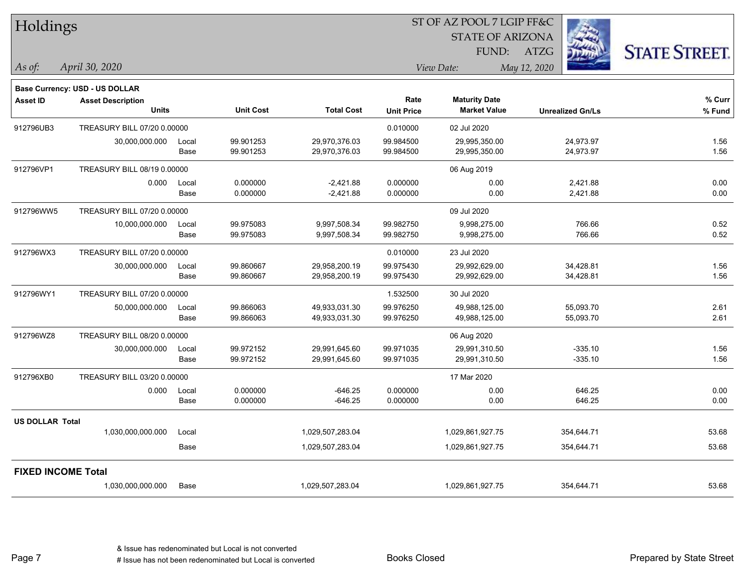| Holdings                  |                                          |               |                        |                                |                           | ST OF AZ POOL 7 LGIP FF&C                   |                         |                      |
|---------------------------|------------------------------------------|---------------|------------------------|--------------------------------|---------------------------|---------------------------------------------|-------------------------|----------------------|
|                           |                                          |               |                        |                                |                           | <b>STATE OF ARIZONA</b>                     |                         |                      |
|                           |                                          |               |                        |                                |                           | FUND:                                       | ATZG                    | <b>STATE STREET.</b> |
| As of:                    | April 30, 2020                           |               |                        |                                |                           | View Date:                                  | May 12, 2020            |                      |
|                           | Base Currency: USD - US DOLLAR           |               |                        |                                |                           |                                             |                         |                      |
| <b>Asset ID</b>           | <b>Asset Description</b><br><b>Units</b> |               | <b>Unit Cost</b>       | <b>Total Cost</b>              | Rate<br><b>Unit Price</b> | <b>Maturity Date</b><br><b>Market Value</b> | <b>Unrealized Gn/Ls</b> | % Curr<br>% Fund     |
| 912796UB3                 | TREASURY BILL 07/20 0.00000              |               |                        |                                | 0.010000                  | 02 Jul 2020                                 |                         |                      |
|                           | 30,000,000.000                           | Local<br>Base | 99.901253<br>99.901253 | 29,970,376.03<br>29,970,376.03 | 99.984500<br>99.984500    | 29,995,350.00<br>29,995,350.00              | 24,973.97<br>24,973.97  | 1.56<br>1.56         |
| 912796VP1                 | TREASURY BILL 08/19 0.00000              |               |                        |                                |                           | 06 Aug 2019                                 |                         |                      |
|                           | 0.000                                    | Local<br>Base | 0.000000<br>0.000000   | $-2,421.88$<br>$-2,421.88$     | 0.000000<br>0.000000      | 0.00<br>0.00                                | 2,421.88<br>2,421.88    | 0.00<br>0.00         |
| 912796WW5                 | TREASURY BILL 07/20 0.00000              |               |                        |                                |                           | 09 Jul 2020                                 |                         |                      |
|                           | 10,000,000.000                           | Local<br>Base | 99.975083<br>99.975083 | 9,997,508.34<br>9,997,508.34   | 99.982750<br>99.982750    | 9,998,275.00<br>9,998,275.00                | 766.66<br>766.66        | 0.52<br>0.52         |
| 912796WX3                 | TREASURY BILL 07/20 0.00000              |               |                        |                                | 0.010000                  | 23 Jul 2020                                 |                         |                      |
|                           | 30,000,000.000                           | Local<br>Base | 99.860667<br>99.860667 | 29,958,200.19<br>29,958,200.19 | 99.975430<br>99.975430    | 29,992,629.00<br>29,992,629.00              | 34,428.81<br>34,428.81  | 1.56<br>1.56         |
| 912796WY1                 | TREASURY BILL 07/20 0.00000              |               |                        |                                | 1.532500                  | 30 Jul 2020                                 |                         |                      |
|                           | 50,000,000.000                           | Local<br>Base | 99.866063<br>99.866063 | 49,933,031.30<br>49,933,031.30 | 99.976250<br>99.976250    | 49,988,125.00<br>49,988,125.00              | 55,093.70<br>55,093.70  | 2.61<br>2.61         |
| 912796WZ8                 | TREASURY BILL 08/20 0.00000              |               |                        |                                |                           | 06 Aug 2020                                 |                         |                      |
|                           | 30,000,000.000                           | Local<br>Base | 99.972152<br>99.972152 | 29,991,645.60<br>29,991,645.60 | 99.971035<br>99.971035    | 29,991,310.50<br>29,991,310.50              | $-335.10$<br>$-335.10$  | 1.56<br>1.56         |
| 912796XB0                 | TREASURY BILL 03/20 0.00000              |               |                        |                                |                           | 17 Mar 2020                                 |                         |                      |
|                           | 0.000                                    | Local<br>Base | 0.000000<br>0.000000   | $-646.25$<br>$-646.25$         | 0.000000<br>0.000000      | 0.00<br>0.00                                | 646.25<br>646.25        | 0.00<br>0.00         |
| <b>US DOLLAR Total</b>    |                                          |               |                        |                                |                           |                                             |                         |                      |
|                           | 1,030,000,000.000                        | Local         |                        | 1,029,507,283.04               |                           | 1,029,861,927.75                            | 354,644.71              | 53.68                |
|                           |                                          | Base          |                        | 1,029,507,283.04               |                           | 1,029,861,927.75                            | 354,644.71              | 53.68                |
| <b>FIXED INCOME Total</b> |                                          |               |                        |                                |                           |                                             |                         |                      |
|                           | 1,030,000,000.000                        | Base          |                        | 1,029,507,283.04               |                           | 1,029,861,927.75                            | 354,644.71              | 53.68                |
|                           |                                          |               |                        |                                |                           |                                             |                         |                      |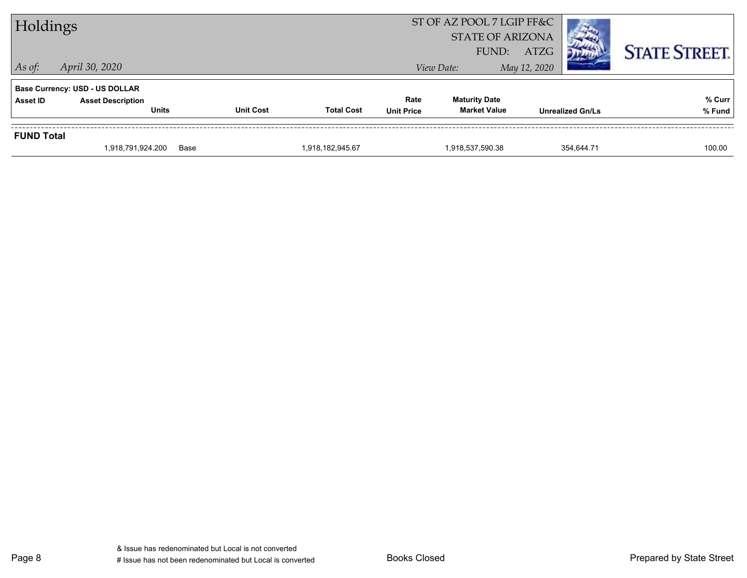| Holdings          |                                                                   |                  |                   |                   | ST OF AZ POOL 7 LGIP FF&C<br><b>STATE OF ARIZONA</b><br>FUND: | ATZG                    | <b>STATE STREET.</b> |
|-------------------|-------------------------------------------------------------------|------------------|-------------------|-------------------|---------------------------------------------------------------|-------------------------|----------------------|
| $\vert$ As of:    | April 30, 2020                                                    |                  |                   |                   | View Date:                                                    | May 12, 2020            |                      |
| Asset ID          | <b>Base Currency: USD - US DOLLAR</b><br><b>Asset Description</b> |                  |                   | Rate              | <b>Maturity Date</b>                                          |                         | % Curr               |
|                   | <b>Units</b>                                                      | <b>Unit Cost</b> | <b>Total Cost</b> | <b>Unit Price</b> | <b>Market Value</b>                                           | <b>Unrealized Gn/Ls</b> | % Fund               |
| <b>FUND Total</b> |                                                                   |                  |                   |                   |                                                               |                         |                      |
|                   | 1,918,791,924.200                                                 | Base             | 1,918,182,945.67  |                   | 1,918,537,590.38                                              | 354.644.71              | 100.00               |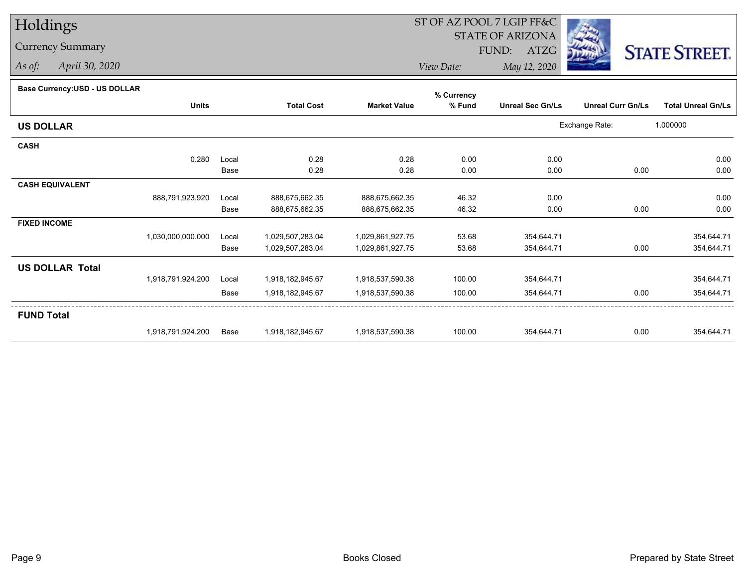## Holdings

## Currency Summary

*As of: April 30, 2020*

## ST OF AZ POOL 7 LGIP FF&C

STATE OF ARIZONA

FUND: ATZG



*View Date:May 12, 2020*

## **Base Currency:USD - US DOLLAR**

|                        |                   |       |                   |                     | % Currency |                         |                          |                           |
|------------------------|-------------------|-------|-------------------|---------------------|------------|-------------------------|--------------------------|---------------------------|
|                        | <b>Units</b>      |       | <b>Total Cost</b> | <b>Market Value</b> | % Fund     | <b>Unreal Sec Gn/Ls</b> | <b>Unreal Curr Gn/Ls</b> | <b>Total Unreal Gn/Ls</b> |
| <b>US DOLLAR</b>       |                   |       |                   |                     |            |                         | Exchange Rate:           | 1.000000                  |
| <b>CASH</b>            |                   |       |                   |                     |            |                         |                          |                           |
|                        | 0.280             | Local | 0.28              | 0.28                | 0.00       | 0.00                    |                          | 0.00                      |
|                        |                   | Base  | 0.28              | 0.28                | 0.00       | 0.00                    | 0.00                     | 0.00                      |
| <b>CASH EQUIVALENT</b> |                   |       |                   |                     |            |                         |                          |                           |
|                        | 888,791,923.920   | Local | 888,675,662.35    | 888,675,662.35      | 46.32      | 0.00                    |                          | 0.00                      |
|                        |                   | Base  | 888,675,662.35    | 888,675,662.35      | 46.32      | 0.00                    | 0.00                     | 0.00                      |
| <b>FIXED INCOME</b>    |                   |       |                   |                     |            |                         |                          |                           |
|                        | 1,030,000,000.000 | Local | 1,029,507,283.04  | 1,029,861,927.75    | 53.68      | 354,644.71              |                          | 354,644.71                |
|                        |                   | Base  | 1,029,507,283.04  | 1,029,861,927.75    | 53.68      | 354,644.71              | 0.00                     | 354,644.71                |
| <b>US DOLLAR Total</b> |                   |       |                   |                     |            |                         |                          |                           |
|                        | 1,918,791,924.200 | Local | 1,918,182,945.67  | 1,918,537,590.38    | 100.00     | 354,644.71              |                          | 354,644.71                |
|                        |                   | Base  | 1,918,182,945.67  | 1,918,537,590.38    | 100.00     | 354,644.71              | 0.00                     | 354,644.71                |
| <b>FUND Total</b>      |                   |       |                   |                     |            |                         |                          |                           |
|                        | 1,918,791,924.200 | Base  | 1,918,182,945.67  | 1,918,537,590.38    | 100.00     | 354,644.71              | 0.00                     | 354,644.71                |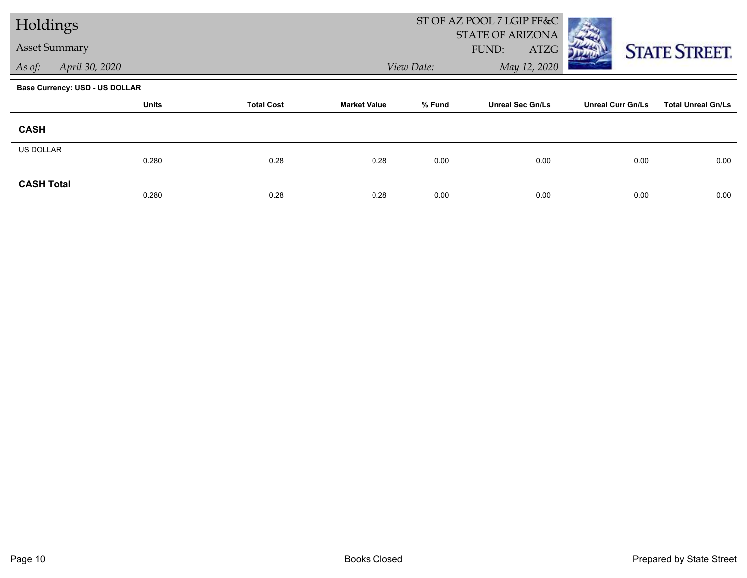| Holdings             |                                       |                   |                     |            | ST OF AZ POOL 7 LGIP FF&C                |                          |                           |
|----------------------|---------------------------------------|-------------------|---------------------|------------|------------------------------------------|--------------------------|---------------------------|
| <b>Asset Summary</b> |                                       |                   |                     |            | <b>STATE OF ARIZONA</b><br>FUND:<br>ATZG |                          | <b>STATE STREET.</b>      |
| As of:               | April 30, 2020                        |                   |                     | View Date: | May 12, 2020                             |                          |                           |
|                      | <b>Base Currency: USD - US DOLLAR</b> |                   |                     |            |                                          |                          |                           |
|                      | <b>Units</b>                          | <b>Total Cost</b> | <b>Market Value</b> | % Fund     | <b>Unreal Sec Gn/Ls</b>                  | <b>Unreal Curr Gn/Ls</b> | <b>Total Unreal Gn/Ls</b> |
| <b>CASH</b>          |                                       |                   |                     |            |                                          |                          |                           |
| US DOLLAR            |                                       |                   |                     |            |                                          |                          |                           |
|                      | 0.280                                 | 0.28              | 0.28                | 0.00       | 0.00                                     | 0.00                     | 0.00                      |
| <b>CASH Total</b>    |                                       |                   |                     |            |                                          |                          |                           |
|                      | 0.280                                 | 0.28              | 0.28                | 0.00       | 0.00                                     | 0.00                     | 0.00                      |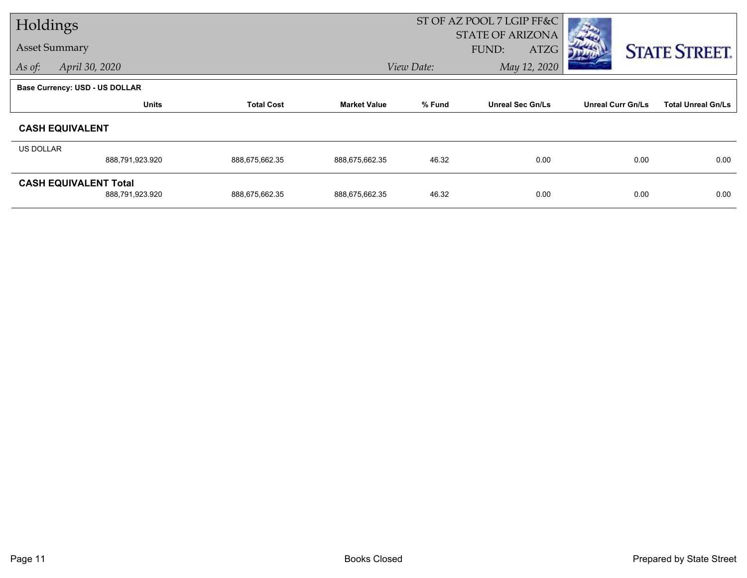| Holdings  |                                                 |                   |                     |            | ST OF AZ POOL 7 LGIP FF&C                |                          |                           |
|-----------|-------------------------------------------------|-------------------|---------------------|------------|------------------------------------------|--------------------------|---------------------------|
|           | <b>Asset Summary</b>                            |                   |                     |            | <b>STATE OF ARIZONA</b><br>FUND:<br>ATZG |                          | <b>STATE STREET.</b>      |
| As of:    | April 30, 2020                                  |                   |                     | View Date: | May 12, 2020                             |                          |                           |
|           | Base Currency: USD - US DOLLAR                  |                   |                     |            |                                          |                          |                           |
|           | <b>Units</b>                                    | <b>Total Cost</b> | <b>Market Value</b> | % Fund     | <b>Unreal Sec Gn/Ls</b>                  | <b>Unreal Curr Gn/Ls</b> | <b>Total Unreal Gn/Ls</b> |
|           | <b>CASH EQUIVALENT</b>                          |                   |                     |            |                                          |                          |                           |
| US DOLLAR |                                                 |                   |                     |            |                                          |                          |                           |
|           | 888,791,923.920                                 | 888,675,662.35    | 888,675,662.35      | 46.32      | 0.00                                     | 0.00                     | 0.00                      |
|           | <b>CASH EQUIVALENT Total</b><br>888,791,923.920 | 888,675,662.35    | 888,675,662.35      | 46.32      | 0.00                                     | 0.00                     | 0.00                      |
|           |                                                 |                   |                     |            |                                          |                          |                           |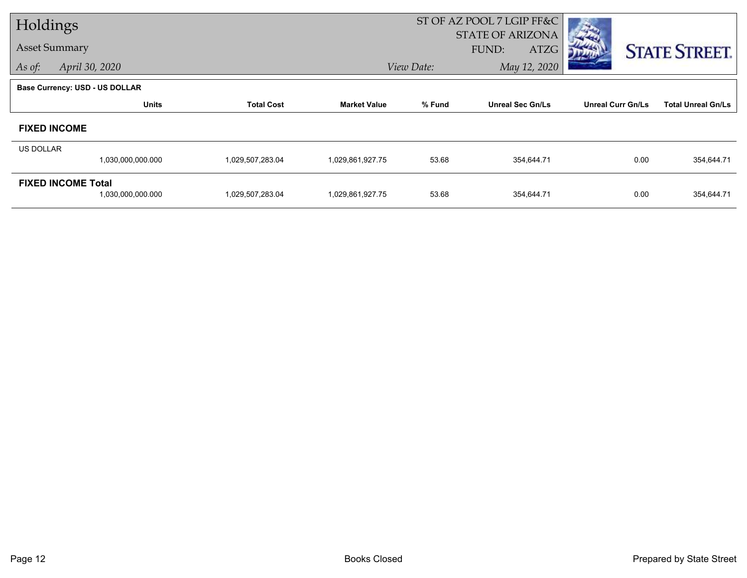| Holdings  |                                                |                   |                     | ST OF AZ POOL 7 LGIP FF&C |                                          |                          |                           |
|-----------|------------------------------------------------|-------------------|---------------------|---------------------------|------------------------------------------|--------------------------|---------------------------|
|           | <b>Asset Summary</b>                           |                   |                     |                           | <b>STATE OF ARIZONA</b><br>ATZG<br>FUND: |                          | <b>STATE STREET.</b>      |
| As of:    | April 30, 2020                                 |                   |                     | View Date:                | May 12, 2020                             |                          |                           |
|           | <b>Base Currency: USD - US DOLLAR</b>          |                   |                     |                           |                                          |                          |                           |
|           | <b>Units</b>                                   | <b>Total Cost</b> | <b>Market Value</b> | % Fund                    | <b>Unreal Sec Gn/Ls</b>                  | <b>Unreal Curr Gn/Ls</b> | <b>Total Unreal Gn/Ls</b> |
|           | <b>FIXED INCOME</b>                            |                   |                     |                           |                                          |                          |                           |
| US DOLLAR |                                                |                   |                     |                           |                                          |                          |                           |
|           | 1,030,000,000.000                              | 1,029,507,283.04  | 1,029,861,927.75    | 53.68                     | 354,644.71                               | 0.00                     | 354,644.71                |
|           | <b>FIXED INCOME Total</b><br>1,030,000,000.000 | 1,029,507,283.04  | 1,029,861,927.75    | 53.68                     | 354,644.71                               | 0.00                     | 354,644.71                |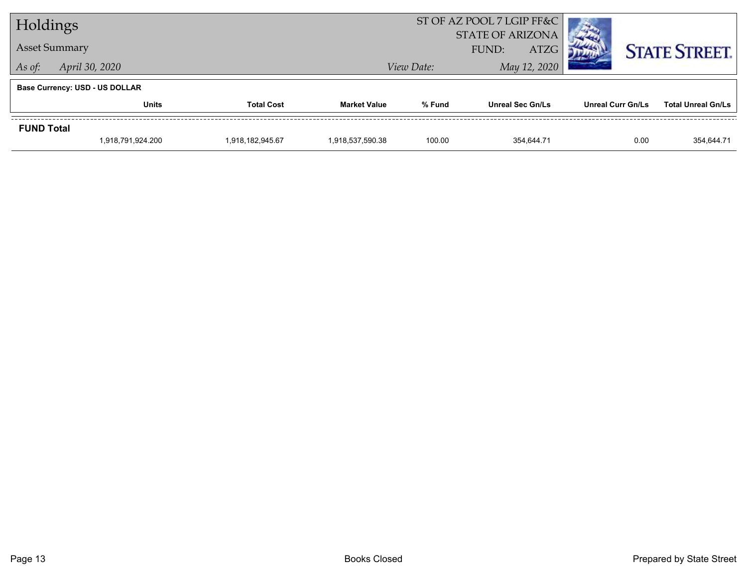| Holdings                              |                      |                   |                     | ST OF AZ POOL 7 LGIP FF&C<br><b>STATE OF ARIZONA</b> |                  |                          |                           |  |  |
|---------------------------------------|----------------------|-------------------|---------------------|------------------------------------------------------|------------------|--------------------------|---------------------------|--|--|
|                                       | <b>Asset Summary</b> |                   |                     | <b>ATZG</b><br>FUND:                                 |                  |                          | <b>STATE STREET.</b>      |  |  |
| As of:                                | April 30, 2020       |                   |                     | View Date:                                           | May 12, 2020     |                          |                           |  |  |
| <b>Base Currency: USD - US DOLLAR</b> |                      |                   |                     |                                                      |                  |                          |                           |  |  |
|                                       | <b>Units</b>         | <b>Total Cost</b> | <b>Market Value</b> | % Fund                                               | Unreal Sec Gn/Ls | <b>Unreal Curr Gn/Ls</b> | <b>Total Unreal Gn/Ls</b> |  |  |
| <b>FUND Total</b>                     |                      |                   |                     |                                                      |                  |                          |                           |  |  |
|                                       | 1,918,791,924.200    | 1,918,182,945.67  | 1,918,537,590.38    | 100.00                                               | 354,644.71       | 0.00                     | 354,644.71                |  |  |